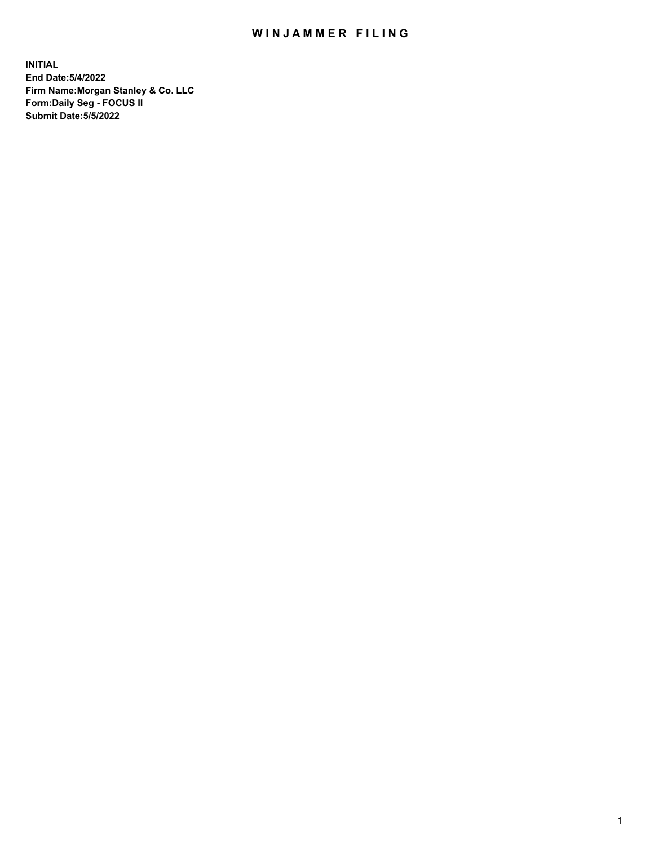## WIN JAMMER FILING

**INITIAL End Date:5/4/2022 Firm Name:Morgan Stanley & Co. LLC Form:Daily Seg - FOCUS II Submit Date:5/5/2022**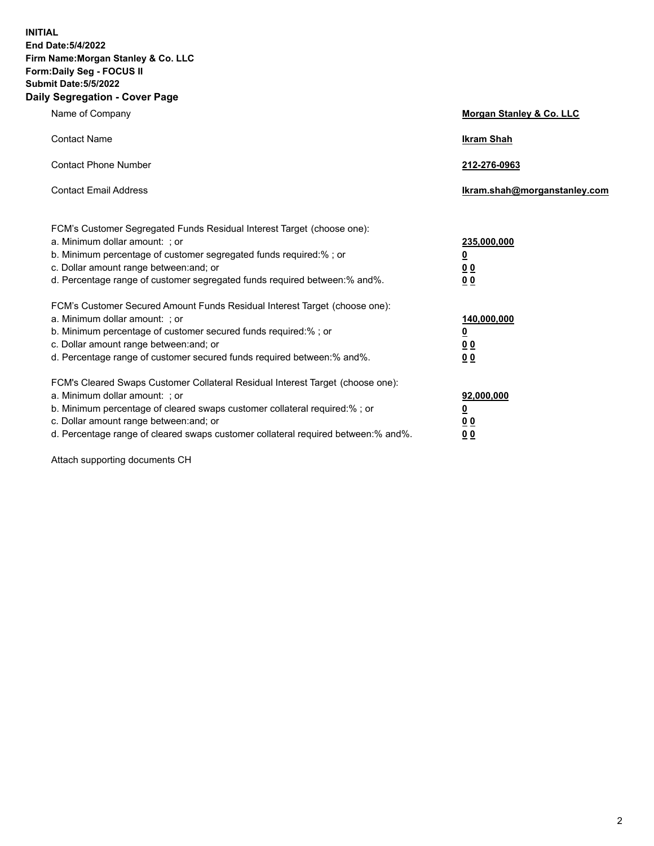**INITIAL End Date:5/4/2022 Firm Name:Morgan Stanley & Co. LLC Form:Daily Seg - FOCUS II Submit Date:5/5/2022 Daily Segregation - Cover Page**

| Name of Company                                                                                                                                                                                                                                                                                                               | Morgan Stanley & Co. LLC                                                     |
|-------------------------------------------------------------------------------------------------------------------------------------------------------------------------------------------------------------------------------------------------------------------------------------------------------------------------------|------------------------------------------------------------------------------|
| <b>Contact Name</b>                                                                                                                                                                                                                                                                                                           | <b>Ikram Shah</b>                                                            |
| <b>Contact Phone Number</b>                                                                                                                                                                                                                                                                                                   | 212-276-0963                                                                 |
| <b>Contact Email Address</b>                                                                                                                                                                                                                                                                                                  | Ikram.shah@morganstanley.com                                                 |
| FCM's Customer Segregated Funds Residual Interest Target (choose one):<br>a. Minimum dollar amount: ; or<br>b. Minimum percentage of customer segregated funds required:% ; or<br>c. Dollar amount range between: and; or<br>d. Percentage range of customer segregated funds required between: % and %.                      | 235,000,000<br><u>0</u><br><u>00</u><br>0 Q                                  |
| FCM's Customer Secured Amount Funds Residual Interest Target (choose one):<br>a. Minimum dollar amount: ; or<br>b. Minimum percentage of customer secured funds required:%; or<br>c. Dollar amount range between: and; or<br>d. Percentage range of customer secured funds required between:% and%.                           | 140,000,000<br><u>0</u><br>$\underline{0}$ $\underline{0}$<br>0 <sup>0</sup> |
| FCM's Cleared Swaps Customer Collateral Residual Interest Target (choose one):<br>a. Minimum dollar amount: ; or<br>b. Minimum percentage of cleared swaps customer collateral required:%; or<br>c. Dollar amount range between: and; or<br>d. Percentage range of cleared swaps customer collateral required between:% and%. | 92,000,000<br><u>0</u><br><u>00</u><br>00                                    |

Attach supporting documents CH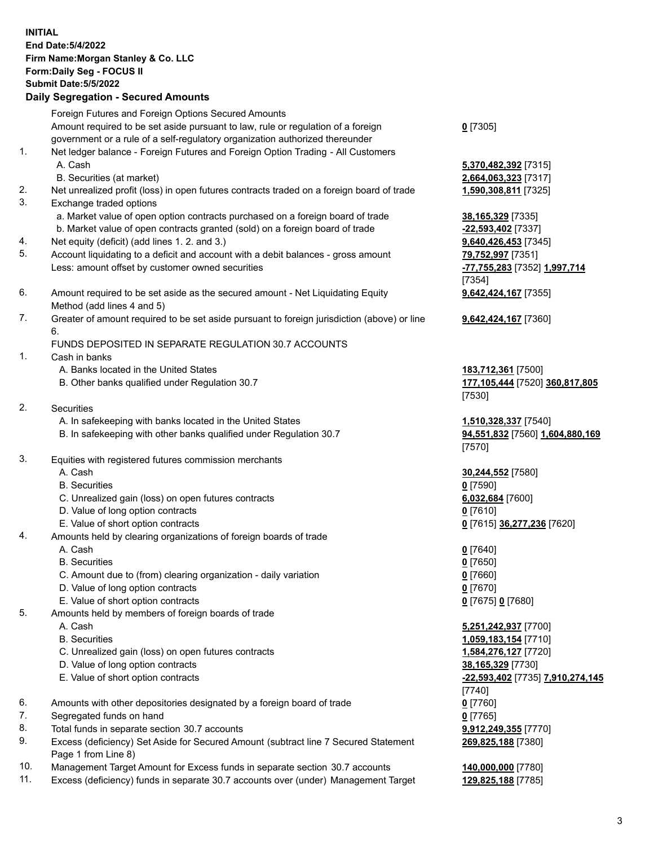|          | <b>INITIAL</b><br>End Date: 5/4/2022<br>Firm Name: Morgan Stanley & Co. LLC<br>Form: Daily Seg - FOCUS II<br><b>Submit Date: 5/5/2022</b><br><b>Daily Segregation - Secured Amounts</b> |                                              |
|----------|-----------------------------------------------------------------------------------------------------------------------------------------------------------------------------------------|----------------------------------------------|
|          | Foreign Futures and Foreign Options Secured Amounts                                                                                                                                     |                                              |
|          | Amount required to be set aside pursuant to law, rule or regulation of a foreign                                                                                                        | $0$ [7305]                                   |
|          | government or a rule of a self-regulatory organization authorized thereunder                                                                                                            |                                              |
| 1.       | Net ledger balance - Foreign Futures and Foreign Option Trading - All Customers                                                                                                         |                                              |
|          | A. Cash<br>B. Securities (at market)                                                                                                                                                    | 5,370,482,392 [7315]<br>2,664,063,323 [7317] |
| 2.       | Net unrealized profit (loss) in open futures contracts traded on a foreign board of trade                                                                                               | 1,590,308,811 [7325]                         |
| 3.       | Exchange traded options                                                                                                                                                                 |                                              |
|          | a. Market value of open option contracts purchased on a foreign board of trade                                                                                                          | 38,165,329 [7335]                            |
|          | b. Market value of open contracts granted (sold) on a foreign board of trade                                                                                                            | -22,593,402 [7337]                           |
| 4.       | Net equity (deficit) (add lines 1.2. and 3.)                                                                                                                                            | 9,640,426,453 [7345]                         |
| 5.       | Account liquidating to a deficit and account with a debit balances - gross amount                                                                                                       | 79,752,997 [7351]                            |
|          | Less: amount offset by customer owned securities                                                                                                                                        | -77,755,283 [7352] 1,997,714                 |
| 6.       | Amount required to be set aside as the secured amount - Net Liquidating Equity                                                                                                          | [7354]<br>9,642,424,167 [7355]               |
|          | Method (add lines 4 and 5)                                                                                                                                                              |                                              |
| 7.       | Greater of amount required to be set aside pursuant to foreign jurisdiction (above) or line                                                                                             | 9,642,424,167 [7360]                         |
|          | 6.                                                                                                                                                                                      |                                              |
|          | FUNDS DEPOSITED IN SEPARATE REGULATION 30.7 ACCOUNTS                                                                                                                                    |                                              |
| 1.       | Cash in banks                                                                                                                                                                           |                                              |
|          | A. Banks located in the United States                                                                                                                                                   | 183,712,361 [7500]                           |
|          | B. Other banks qualified under Regulation 30.7                                                                                                                                          | 177,105,444 [7520] 360,817,805<br>[7530]     |
| 2.       | <b>Securities</b>                                                                                                                                                                       |                                              |
|          | A. In safekeeping with banks located in the United States                                                                                                                               | 1,510,328,337 [7540]                         |
|          | B. In safekeeping with other banks qualified under Regulation 30.7                                                                                                                      | 94,551,832 [7560] 1,604,880,169              |
|          |                                                                                                                                                                                         | [7570]                                       |
| 3.       | Equities with registered futures commission merchants                                                                                                                                   |                                              |
|          | A. Cash                                                                                                                                                                                 | 30,244,552 [7580]                            |
|          | <b>B.</b> Securities                                                                                                                                                                    | $0$ [7590]                                   |
|          | C. Unrealized gain (loss) on open futures contracts<br>D. Value of long option contracts                                                                                                | 6,032,684 [7600]<br>$0$ [7610]               |
|          | E. Value of short option contracts                                                                                                                                                      | 0 [7615] 36,277,236 [7620]                   |
| 4.       | Amounts held by clearing organizations of foreign boards of trade                                                                                                                       |                                              |
|          | A. Cash                                                                                                                                                                                 | $0$ [7640]                                   |
|          | <b>B.</b> Securities                                                                                                                                                                    | $0$ [7650]                                   |
|          | C. Amount due to (from) clearing organization - daily variation                                                                                                                         | $0$ [7660]                                   |
|          | D. Value of long option contracts                                                                                                                                                       | $0$ [7670]                                   |
| 5.       | E. Value of short option contracts<br>Amounts held by members of foreign boards of trade                                                                                                | 0 [7675] 0 [7680]                            |
|          | A. Cash                                                                                                                                                                                 | 5,251,242,937 [7700]                         |
|          | <b>B.</b> Securities                                                                                                                                                                    | 1,059,183,154 [7710]                         |
|          | C. Unrealized gain (loss) on open futures contracts                                                                                                                                     | 1,584,276,127 [7720]                         |
|          | D. Value of long option contracts                                                                                                                                                       | 38,165,329 [7730]                            |
|          | E. Value of short option contracts                                                                                                                                                      | -22,593,402 [7735] 7,910,274,145             |
|          |                                                                                                                                                                                         | [7740]                                       |
| 6.       | Amounts with other depositories designated by a foreign board of trade                                                                                                                  | $0$ [7760]                                   |
| 7.<br>8. | Segregated funds on hand                                                                                                                                                                | $0$ [7765]                                   |
| 9.       | Total funds in separate section 30.7 accounts<br>Excess (deficiency) Set Aside for Secured Amount (subtract line 7 Secured Statement                                                    | 9,912,249,355 [7770]<br>269,825,188 [7380]   |
|          | Page 1 from Line 8)                                                                                                                                                                     |                                              |

- 10. Management Target Amount for Excess funds in separate section 30.7 accounts **140,000,000** [7780]
- 11. Excess (deficiency) funds in separate 30.7 accounts over (under) Management Target **129,825,188** [7785]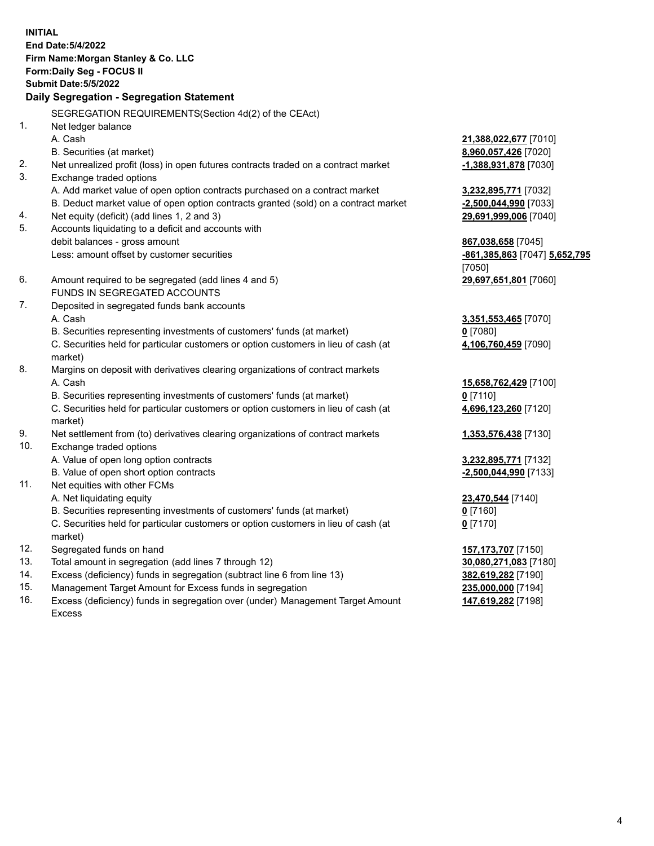|     | <b>INITIAL</b><br><b>End Date: 5/4/2022</b><br>Firm Name: Morgan Stanley & Co. LLC<br>Form: Daily Seg - FOCUS II<br><b>Submit Date: 5/5/2022</b><br>Daily Segregation - Segregation Statement |                                   |
|-----|-----------------------------------------------------------------------------------------------------------------------------------------------------------------------------------------------|-----------------------------------|
|     | SEGREGATION REQUIREMENTS(Section 4d(2) of the CEAct)                                                                                                                                          |                                   |
| 1.  | Net ledger balance                                                                                                                                                                            |                                   |
|     | A. Cash                                                                                                                                                                                       | 21,388,022,677 [7010]             |
|     | B. Securities (at market)                                                                                                                                                                     | 8,960,057,426 [7020]              |
| 2.  | Net unrealized profit (loss) in open futures contracts traded on a contract market                                                                                                            | -1,388,931,878 [7030]             |
| 3.  | Exchange traded options                                                                                                                                                                       |                                   |
|     | A. Add market value of open option contracts purchased on a contract market                                                                                                                   | 3,232,895,771 [7032]              |
|     | B. Deduct market value of open option contracts granted (sold) on a contract market                                                                                                           | -2,500,044,990 [7033]             |
| 4.  | Net equity (deficit) (add lines 1, 2 and 3)                                                                                                                                                   | 29,691,999,006 [7040]             |
| 5.  | Accounts liquidating to a deficit and accounts with                                                                                                                                           |                                   |
|     | debit balances - gross amount                                                                                                                                                                 | 867,038,658 [7045]                |
|     | Less: amount offset by customer securities                                                                                                                                                    | -861, 385, 863 [7047] 5, 652, 795 |
|     |                                                                                                                                                                                               | [7050]                            |
| 6.  | Amount required to be segregated (add lines 4 and 5)                                                                                                                                          | 29,697,651,801 [7060]             |
|     | FUNDS IN SEGREGATED ACCOUNTS                                                                                                                                                                  |                                   |
| 7.  | Deposited in segregated funds bank accounts                                                                                                                                                   |                                   |
|     | A. Cash                                                                                                                                                                                       | 3,351,553,465 [7070]              |
|     | B. Securities representing investments of customers' funds (at market)                                                                                                                        | $0$ [7080]                        |
|     | C. Securities held for particular customers or option customers in lieu of cash (at<br>market)                                                                                                | 4,106,760,459 [7090]              |
| 8.  | Margins on deposit with derivatives clearing organizations of contract markets                                                                                                                |                                   |
|     | A. Cash                                                                                                                                                                                       | 15,658,762,429 [7100]             |
|     | B. Securities representing investments of customers' funds (at market)                                                                                                                        | $0$ [7110]                        |
|     | C. Securities held for particular customers or option customers in lieu of cash (at                                                                                                           | 4,696,123,260 [7120]              |
|     | market)                                                                                                                                                                                       |                                   |
| 9.  | Net settlement from (to) derivatives clearing organizations of contract markets                                                                                                               | 1,353,576,438 [7130]              |
| 10. | Exchange traded options                                                                                                                                                                       |                                   |
|     | A. Value of open long option contracts                                                                                                                                                        | 3,232,895,771 [7132]              |
|     | B. Value of open short option contracts                                                                                                                                                       | -2,500,044,990 [7133]             |
| 11. | Net equities with other FCMs                                                                                                                                                                  |                                   |
|     | A. Net liquidating equity                                                                                                                                                                     | 23,470,544 [7140]                 |
|     | B. Securities representing investments of customers' funds (at market)                                                                                                                        | $0$ [7160]                        |
|     | C. Securities held for particular customers or option customers in lieu of cash (at                                                                                                           | $0$ [7170]                        |
|     | market)                                                                                                                                                                                       |                                   |
| 12. | Segregated funds on hand                                                                                                                                                                      | 157,173,707 [7150]                |
| 13. | Total amount in segregation (add lines 7 through 12)                                                                                                                                          | 30,080,271,083 [7180]             |
| 14. | Excess (deficiency) funds in segregation (subtract line 6 from line 13)                                                                                                                       | 382,619,282 [7190]                |
| 15. | Management Target Amount for Excess funds in segregation                                                                                                                                      | 235,000,000 [7194]                |

16. Excess (deficiency) funds in segregation over (under) Management Target Amount Excess

**147,619,282** [7198]